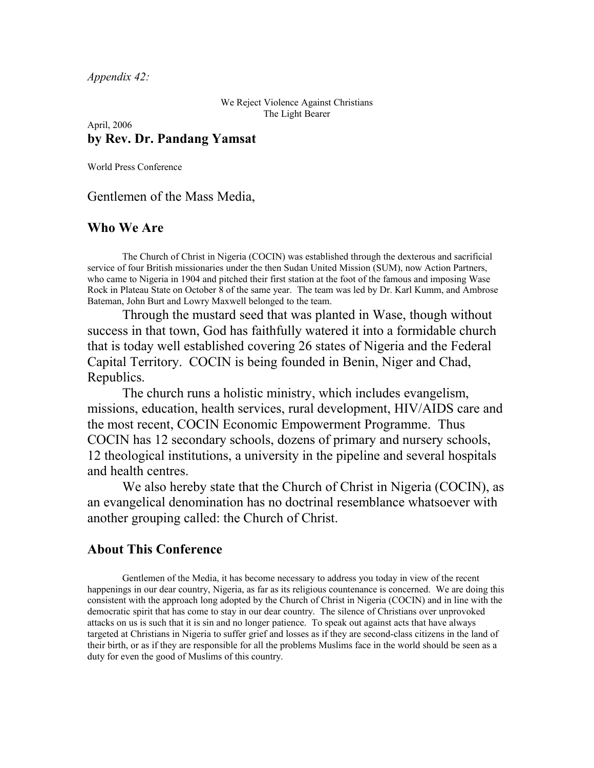*Appendix 42:*

We Reject Violence Against Christians The Light Bearer

April, 2006 **by Rev. Dr. Pandang Yamsat**

World Press Conference

Gentlemen of the Mass Media,

## **Who We Are**

The Church of Christ in Nigeria (COCIN) was established through the dexterous and sacrificial service of four British missionaries under the then Sudan United Mission (SUM), now Action Partners, who came to Nigeria in 1904 and pitched their first station at the foot of the famous and imposing Wase Rock in Plateau State on October 8 of the same year. The team was led by Dr. Karl Kumm, and Ambrose Bateman, John Burt and Lowry Maxwell belonged to the team.

Through the mustard seed that was planted in Wase, though without success in that town, God has faithfully watered it into a formidable church that is today well established covering 26 states of Nigeria and the Federal Capital Territory. COCIN is being founded in Benin, Niger and Chad, Republics.

The church runs a holistic ministry, which includes evangelism, missions, education, health services, rural development, HIV/AIDS care and the most recent, COCIN Economic Empowerment Programme. Thus COCIN has 12 secondary schools, dozens of primary and nursery schools, 12 theological institutions, a university in the pipeline and several hospitals and health centres.

We also hereby state that the Church of Christ in Nigeria (COCIN), as an evangelical denomination has no doctrinal resemblance whatsoever with another grouping called: the Church of Christ.

## **About This Conference**

Gentlemen of the Media, it has become necessary to address you today in view of the recent happenings in our dear country, Nigeria, as far as its religious countenance is concerned. We are doing this consistent with the approach long adopted by the Church of Christ in Nigeria (COCIN) and in line with the democratic spirit that has come to stay in our dear country. The silence of Christians over unprovoked attacks on us is such that it is sin and no longer patience. To speak out against acts that have always targeted at Christians in Nigeria to suffer grief and losses as if they are second-class citizens in the land of their birth, or as if they are responsible for all the problems Muslims face in the world should be seen as a duty for even the good of Muslims of this country.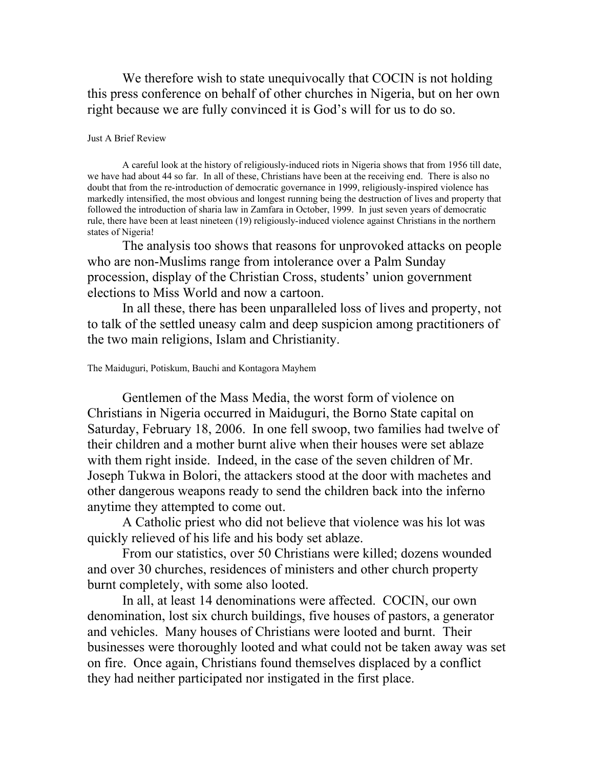We therefore wish to state unequivocally that COCIN is not holding this press conference on behalf of other churches in Nigeria, but on her own right because we are fully convinced it is God's will for us to do so.

#### Just A Brief Review

A careful look at the history of religiously-induced riots in Nigeria shows that from 1956 till date, we have had about 44 so far. In all of these, Christians have been at the receiving end. There is also no doubt that from the re-introduction of democratic governance in 1999, religiously-inspired violence has markedly intensified, the most obvious and longest running being the destruction of lives and property that followed the introduction of sharia law in Zamfara in October, 1999. In just seven years of democratic rule, there have been at least nineteen (19) religiously-induced violence against Christians in the northern states of Nigeria!

The analysis too shows that reasons for unprovoked attacks on people who are non-Muslims range from intolerance over a Palm Sunday procession, display of the Christian Cross, students' union government elections to Miss World and now a cartoon.

In all these, there has been unparalleled loss of lives and property, not to talk of the settled uneasy calm and deep suspicion among practitioners of the two main religions, Islam and Christianity.

### The Maiduguri, Potiskum, Bauchi and Kontagora Mayhem

Gentlemen of the Mass Media, the worst form of violence on Christians in Nigeria occurred in Maiduguri, the Borno State capital on Saturday, February 18, 2006. In one fell swoop, two families had twelve of their children and a mother burnt alive when their houses were set ablaze with them right inside. Indeed, in the case of the seven children of Mr. Joseph Tukwa in Bolori, the attackers stood at the door with machetes and other dangerous weapons ready to send the children back into the inferno anytime they attempted to come out.

A Catholic priest who did not believe that violence was his lot was quickly relieved of his life and his body set ablaze.

From our statistics, over 50 Christians were killed; dozens wounded and over 30 churches, residences of ministers and other church property burnt completely, with some also looted.

In all, at least 14 denominations were affected. COCIN, our own denomination, lost six church buildings, five houses of pastors, a generator and vehicles. Many houses of Christians were looted and burnt. Their businesses were thoroughly looted and what could not be taken away was set on fire. Once again, Christians found themselves displaced by a conflict they had neither participated nor instigated in the first place.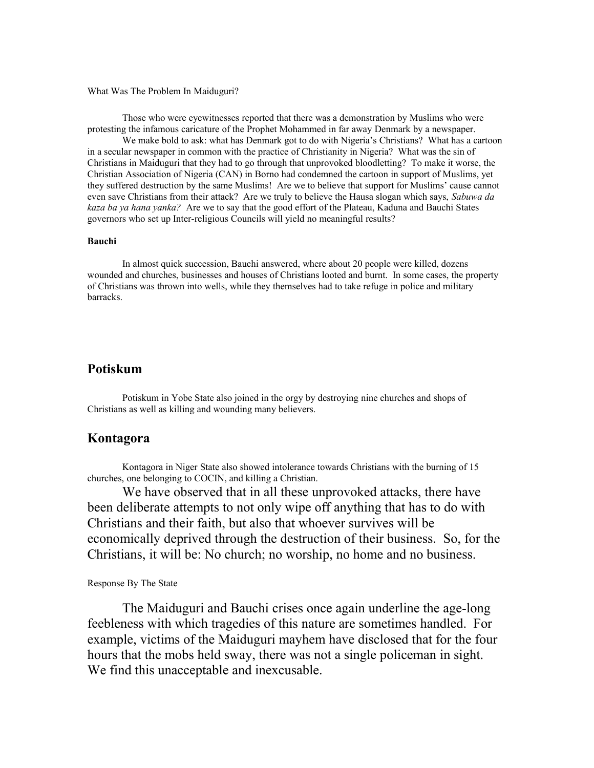#### What Was The Problem In Maiduguri?

Those who were eyewitnesses reported that there was a demonstration by Muslims who were protesting the infamous caricature of the Prophet Mohammed in far away Denmark by a newspaper.

We make bold to ask: what has Denmark got to do with Nigeria's Christians? What has a cartoon in a secular newspaper in common with the practice of Christianity in Nigeria? What was the sin of Christians in Maiduguri that they had to go through that unprovoked bloodletting? To make it worse, the Christian Association of Nigeria (CAN) in Borno had condemned the cartoon in support of Muslims, yet they suffered destruction by the same Muslims! Are we to believe that support for Muslims' cause cannot even save Christians from their attack? Are we truly to believe the Hausa slogan which says, *Sabuwa da kaza ba ya hana yanka?* Are we to say that the good effort of the Plateau, Kaduna and Bauchi States governors who set up Inter-religious Councils will yield no meaningful results?

#### **Bauchi**

In almost quick succession, Bauchi answered, where about 20 people were killed, dozens wounded and churches, businesses and houses of Christians looted and burnt. In some cases, the property of Christians was thrown into wells, while they themselves had to take refuge in police and military barracks.

# **Potiskum**

Potiskum in Yobe State also joined in the orgy by destroying nine churches and shops of Christians as well as killing and wounding many believers.

### **Kontagora**

Kontagora in Niger State also showed intolerance towards Christians with the burning of 15 churches, one belonging to COCIN, and killing a Christian.

We have observed that in all these unprovoked attacks, there have been deliberate attempts to not only wipe off anything that has to do with Christians and their faith, but also that whoever survives will be economically deprived through the destruction of their business. So, for the Christians, it will be: No church; no worship, no home and no business.

#### Response By The State

The Maiduguri and Bauchi crises once again underline the age-long feebleness with which tragedies of this nature are sometimes handled. For example, victims of the Maiduguri mayhem have disclosed that for the four hours that the mobs held sway, there was not a single policeman in sight. We find this unacceptable and inexcusable.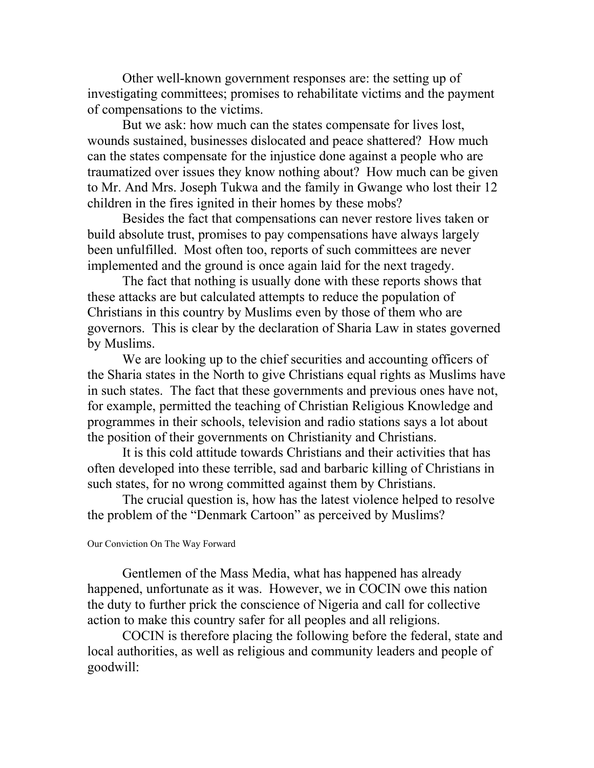Other well-known government responses are: the setting up of investigating committees; promises to rehabilitate victims and the payment of compensations to the victims.

But we ask: how much can the states compensate for lives lost, wounds sustained, businesses dislocated and peace shattered? How much can the states compensate for the injustice done against a people who are traumatized over issues they know nothing about? How much can be given to Mr. And Mrs. Joseph Tukwa and the family in Gwange who lost their 12 children in the fires ignited in their homes by these mobs?

Besides the fact that compensations can never restore lives taken or build absolute trust, promises to pay compensations have always largely been unfulfilled. Most often too, reports of such committees are never implemented and the ground is once again laid for the next tragedy.

The fact that nothing is usually done with these reports shows that these attacks are but calculated attempts to reduce the population of Christians in this country by Muslims even by those of them who are governors. This is clear by the declaration of Sharia Law in states governed by Muslims.

We are looking up to the chief securities and accounting officers of the Sharia states in the North to give Christians equal rights as Muslims have in such states. The fact that these governments and previous ones have not, for example, permitted the teaching of Christian Religious Knowledge and programmes in their schools, television and radio stations says a lot about the position of their governments on Christianity and Christians.

It is this cold attitude towards Christians and their activities that has often developed into these terrible, sad and barbaric killing of Christians in such states, for no wrong committed against them by Christians.

The crucial question is, how has the latest violence helped to resolve the problem of the "Denmark Cartoon" as perceived by Muslims?

### Our Conviction On The Way Forward

Gentlemen of the Mass Media, what has happened has already happened, unfortunate as it was. However, we in COCIN owe this nation the duty to further prick the conscience of Nigeria and call for collective action to make this country safer for all peoples and all religions.

COCIN is therefore placing the following before the federal, state and local authorities, as well as religious and community leaders and people of goodwill: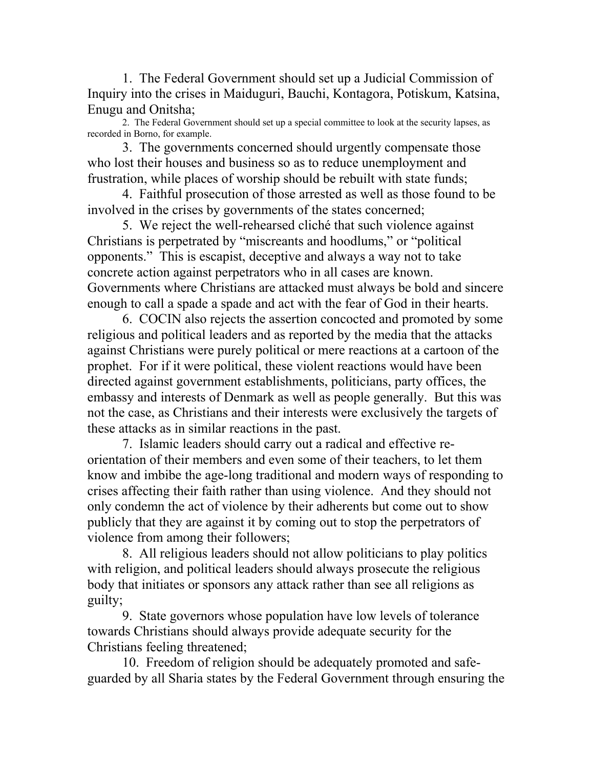1. The Federal Government should set up a Judicial Commission of Inquiry into the crises in Maiduguri, Bauchi, Kontagora, Potiskum, Katsina, Enugu and Onitsha;

2. The Federal Government should set up a special committee to look at the security lapses, as recorded in Borno, for example.

3. The governments concerned should urgently compensate those who lost their houses and business so as to reduce unemployment and frustration, while places of worship should be rebuilt with state funds;

4. Faithful prosecution of those arrested as well as those found to be involved in the crises by governments of the states concerned;

5. We reject the well-rehearsed cliché that such violence against Christians is perpetrated by "miscreants and hoodlums," or "political opponents." This is escapist, deceptive and always a way not to take concrete action against perpetrators who in all cases are known. Governments where Christians are attacked must always be bold and sincere enough to call a spade a spade and act with the fear of God in their hearts.

6. COCIN also rejects the assertion concocted and promoted by some religious and political leaders and as reported by the media that the attacks against Christians were purely political or mere reactions at a cartoon of the prophet. For if it were political, these violent reactions would have been directed against government establishments, politicians, party offices, the embassy and interests of Denmark as well as people generally. But this was not the case, as Christians and their interests were exclusively the targets of these attacks as in similar reactions in the past.

7. Islamic leaders should carry out a radical and effective reorientation of their members and even some of their teachers, to let them know and imbibe the age-long traditional and modern ways of responding to crises affecting their faith rather than using violence. And they should not only condemn the act of violence by their adherents but come out to show publicly that they are against it by coming out to stop the perpetrators of violence from among their followers;

8. All religious leaders should not allow politicians to play politics with religion, and political leaders should always prosecute the religious body that initiates or sponsors any attack rather than see all religions as guilty;

9. State governors whose population have low levels of tolerance towards Christians should always provide adequate security for the Christians feeling threatened;

10. Freedom of religion should be adequately promoted and safeguarded by all Sharia states by the Federal Government through ensuring the